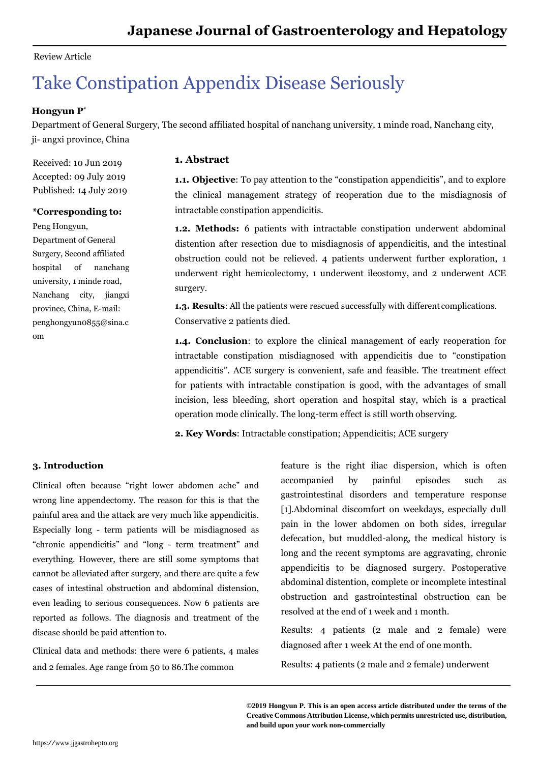## Review Article

# Take Constipation Appendix Disease Seriously

# **Hongyun P\***

Department of General Surgery, The second affiliated hospital of nanchang university, 1 minde road, Nanchang city, ji- angxi province, China

Received: 10 Jun 2019 Accepted: 09 July 2019 Published: 14 July 2019

#### **\*Corresponding to:**

Peng Hongyun,

Department of General Surgery, Second affiliated hospital of nanchang university, 1 minde road, Nanchang city, jiangxi province, China, E-mail: [penghongyun0855@sina.c](mailto:penghongyun0855@sina.c) om

### **1. Abstract**

**1.1. Objective**: To pay attention to the "constipation appendicitis", and to explore the clinical management strategy of reoperation due to the misdiagnosis of intractable constipation appendicitis.

**1.2. Methods:** 6 patients with intractable constipation underwent abdominal distention after resection due to misdiagnosis of appendicitis, and the intestinal obstruction could not be relieved. 4 patients underwent further exploration, 1 underwent right hemicolectomy, 1 underwent ileostomy, and 2 underwent ACE surgery.

**1.3. Results**: All the patients were rescued successfully with different complications. Conservative 2 patients died.

**1.4. Conclusion**: to explore the clinical management of early reoperation for intractable constipation misdiagnosed with appendicitis due to "constipation appendicitis". ACE surgery is convenient, safe and feasible. The treatment effect for patients with intractable constipation is good, with the advantages of small incision, less bleeding, short operation and hospital stay, which is a practical operation mode clinically. The long-term effect is still worth observing.

**2. Key Words**: Intractable constipation; Appendicitis; ACE surgery

## **3. Introduction**

Clinical often because "right lower abdomen ache" and wrong line appendectomy. The reason for this is that the painful area and the attack are very much like appendicitis. Especially long - term patients will be misdiagnosed as "chronic appendicitis" and "long - term treatment" and everything. However, there are still some symptoms that cannot be alleviated after surgery, and there are quite a few cases of intestinal obstruction and abdominal distension, even leading to serious consequences. Now 6 patients are reported as follows. The diagnosis and treatment of the disease should be paid attention to.

Clinical data and methods: there were 6 patients, 4 males and 2 females. Age range from 50 to 86.The common

feature is the right iliac dispersion, which is often accompanied by painful episodes such as gastrointestinal disorders and temperature response [1].Abdominal discomfort on weekdays, especially dull pain in the lower abdomen on both sides, irregular defecation, but muddled-along, the medical history is long and the recent symptoms are aggravating, chronic appendicitis to be diagnosed surgery. Postoperative abdominal distention, complete or incomplete intestinal obstruction and gastrointestinal obstruction can be resolved at the end of 1 week and 1 month.

Results: 4 patients (2 male and 2 female) were diagnosed after 1 week At the end of one month.

Results: 4 patients (2 male and 2 female) underwent

**©2019 Hongyun P. This is an open access article distributed under the terms of the Creative Commons Attribution License, which permits unrestricted use, distribution, and build upon your work non-commercially**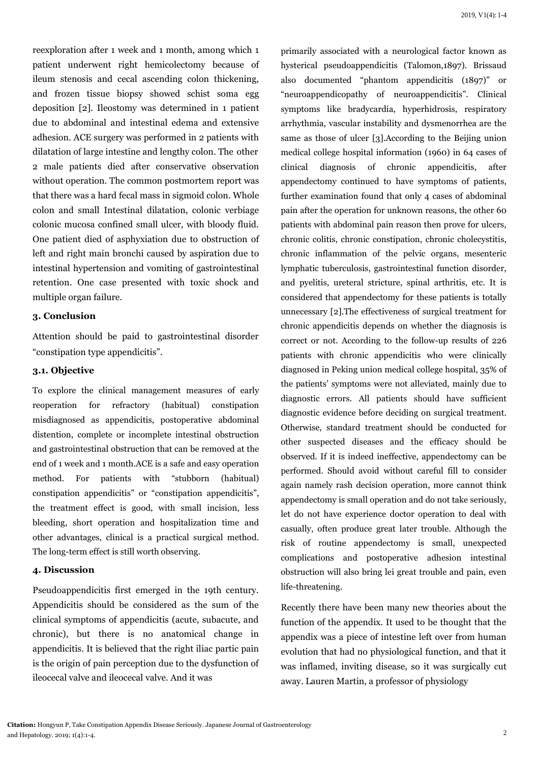reexploration after 1 week and 1 month, among which 1 patient underwent right hemicolectomy because of ileum stenosis and cecal ascending colon thickening, and frozen tissue biopsy showed schist soma egg deposition [2]. Ileostomy was determined in 1 patient due to abdominal and intestinal edema and extensive adhesion. ACE surgery was performed in 2 patients with dilatation of large intestine and lengthy colon. The other 2 male patients died after conservative observation without operation. The common postmortem report was that there was a hard fecal mass in sigmoid colon. Whole colon and small Intestinal dilatation, colonic verbiage colonic mucosa confined small ulcer, with bloody fluid. One patient died of asphyxiation due to obstruction of left and right main bronchi caused by aspiration due to intestinal hypertension and vomiting of gastrointestinal retention. One case presented with toxic shock and multiple organ failure.

### **3. Conclusion**

Attention should be paid to gastrointestinal disorder "constipation type appendicitis".

### **3.1. Objective**

To explore the clinical management measures of early reoperation for refractory (habitual) constipation misdiagnosed as appendicitis, postoperative abdominal distention, complete or incomplete intestinal obstruction and gastrointestinal obstruction that can be removed at the end of 1 week and 1 month.ACE is a safe and easy operation method. For patients with "stubborn (habitual) constipation appendicitis" or "constipation appendicitis", the treatment effect is good, with small incision, less bleeding, short operation and hospitalization time and other advantages, clinical is a practical surgical method. The long-term effect is still worth observing.

## **4. Discussion**

Pseudoappendicitis first emerged in the 19th century. Appendicitis should be considered as the sum of the clinical symptoms of appendicitis (acute, subacute, and chronic), but there is no anatomical change in appendicitis. It is believed that the right iliac partic pain is the origin of pain perception due to the dysfunction of ileocecal valve and ileocecal valve. And it was

primarily associated with a neurological factor known as hysterical pseudoappendicitis (Talomon,1897). Brissaud also documented "phantom appendicitis (1897)" or "neuroappendicopathy of neuroappendicitis". Clinical symptoms like bradycardia, hyperhidrosis, respiratory arrhythmia, vascular instability and dysmenorrhea are the same as those of ulcer [3].According to the Beijing union medical college hospital information (1960) in 64 cases of clinical diagnosis of chronic appendicitis, after appendectomy continued to have symptoms of patients, further examination found that only 4 cases of abdominal pain after the operation for unknown reasons, the other 60 patients with abdominal pain reason then prove for ulcers, chronic colitis, chronic constipation, chronic cholecystitis, chronic inflammation of the pelvic organs, mesenteric lymphatic tuberculosis, gastrointestinal function disorder, and pyelitis, ureteral stricture, spinal arthritis, etc. It is considered that appendectomy for these patients is totally unnecessary [2].The effectiveness of surgical treatment for chronic appendicitis depends on whether the diagnosis is correct or not. According to the follow-up results of 226 patients with chronic appendicitis who were clinically diagnosed in Peking union medical college hospital, 35% of the patients' symptoms were not alleviated, mainly due to diagnostic errors. All patients should have sufficient diagnostic evidence before deciding on surgical treatment. Otherwise, standard treatment should be conducted for other suspected diseases and the efficacy should be observed. If it is indeed ineffective, appendectomy can be performed. Should avoid without careful fill to consider again namely rash decision operation, more cannot think appendectomy is small operation and do not take seriously, let do not have experience doctor operation to deal with casually, often produce great later trouble. Although the risk of routine appendectomy is small, unexpected complications and postoperative adhesion intestinal obstruction will also bring lei great trouble and pain, even life-threatening.

Recently there have been many new theories about the function of the appendix. It used to be thought that the appendix was a piece of intestine left over from human evolution that had no physiological function, and that it was inflamed, inviting disease, so it was surgically cut away. Lauren Martin, a professor of physiology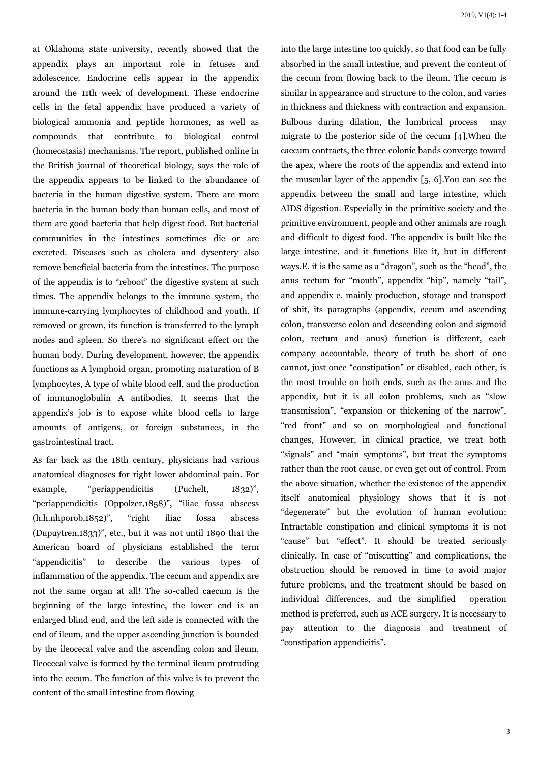at Oklahoma state university, recently showed that the appendix plays an important role in fetuses and adolescence. Endocrine cells appear in the appendix around the 11th week of development. These endocrine cells in the fetal appendix have produced a variety of biological ammonia and peptide hormones, as well as compounds that contribute to biological control (homeostasis) mechanisms. The report, published online in the British journal of theoretical biology, says the role of the appendix appears to be linked to the abundance of bacteria in the human digestive system. There are more bacteria in the human body than human cells, and most of them are good bacteria that help digest food. But bacterial communities in the intestines sometimes die or are excreted. Diseases such as cholera and dysentery also remove beneficial bacteria from the intestines. The purpose of the appendix is to "reboot" the digestive system at such times. The appendix belongs to the immune system, the immune-carrying lymphocytes of childhood and youth. If removed or grown, its function is transferred to the lymph nodes and spleen. So there's no significant effect on the human body. During development, however, the appendix functions as A lymphoid organ, promoting maturation of B lymphocytes, A type of white blood cell, and the production of immunoglobulin A antibodies. It seems that the appendix's job is to expose white blood cells to large amounts of antigens, or foreign substances, in the gastrointestinal tract.

As far back as the 18th century, physicians had various anatomical diagnoses for right lower abdominal pain. For example, "periappendicitis (Puchelt, 1832)", "periappendicitis (Oppolzer,1858)", "iliac fossa abscess (h.h.nhporob,1852)", "right iliac fossa abscess (Dupuytren,1833)", etc., but it was not until 1890 that the American board of physicians established the term "appendicitis" to describe the various types of inflammation of the appendix. The cecum and appendix are not the same organ at all! The so-called caecum is the beginning of the large intestine, the lower end is an enlarged blind end, and the left side is connected with the end of ileum, and the upper ascending junction is bounded by the ileocecal valve and the ascending colon and ileum. Ileocecal valve is formed by the terminal ileum protruding into the cecum. The function of this valve is to prevent the content of the small intestine from flowing

into the large intestine too quickly, so that food can be fully absorbed in the small intestine, and prevent the content of the cecum from flowing back to the ileum. The cecum is similar in appearance and structure to the colon, and varies in thickness and thickness with contraction and expansion. Bulbous during dilation, the lumbrical process may migrate to the posterior side of the cecum [4].When the caecum contracts, the three colonic bands converge toward the apex, where the roots of the appendix and extend into the muscular layer of the appendix [5, 6].You can see the appendix between the small and large intestine, which AIDS digestion. Especially in the primitive society and the primitive environment, people and other animals are rough and difficult to digest food. The appendix is built like the large intestine, and it functions like it, but in different ways.E. it is the same as a "dragon", such as the "head", the anus rectum for "mouth", appendix "hip", namely "tail", and appendix e. mainly production, storage and transport of shit, its paragraphs (appendix, cecum and ascending colon, transverse colon and descending colon and sigmoid colon, rectum and anus) function is different, each company accountable, theory of truth be short of one cannot, just once "constipation" or disabled, each other, is the most trouble on both ends, such as the anus and the appendix, but it is all colon problems, such as "slow transmission", "expansion or thickening of the narrow", "red front" and so on morphological and functional changes, However, in clinical practice, we treat both "signals" and "main symptoms", but treat the symptoms rather than the root cause, or even get out of control. From the above situation, whether the existence of the appendix itself anatomical physiology shows that it is not "degenerate" but the evolution of human evolution; Intractable constipation and clinical symptoms it is not "cause" but "effect". It should be treated seriously clinically. In case of "miscutting" and complications, the obstruction should be removed in time to avoid major future problems, and the treatment should be based on individual differences, and the simplified operation method is preferred, such as ACE surgery. It is necessary to pay attention to the diagnosis and treatment of "constipation appendicitis".